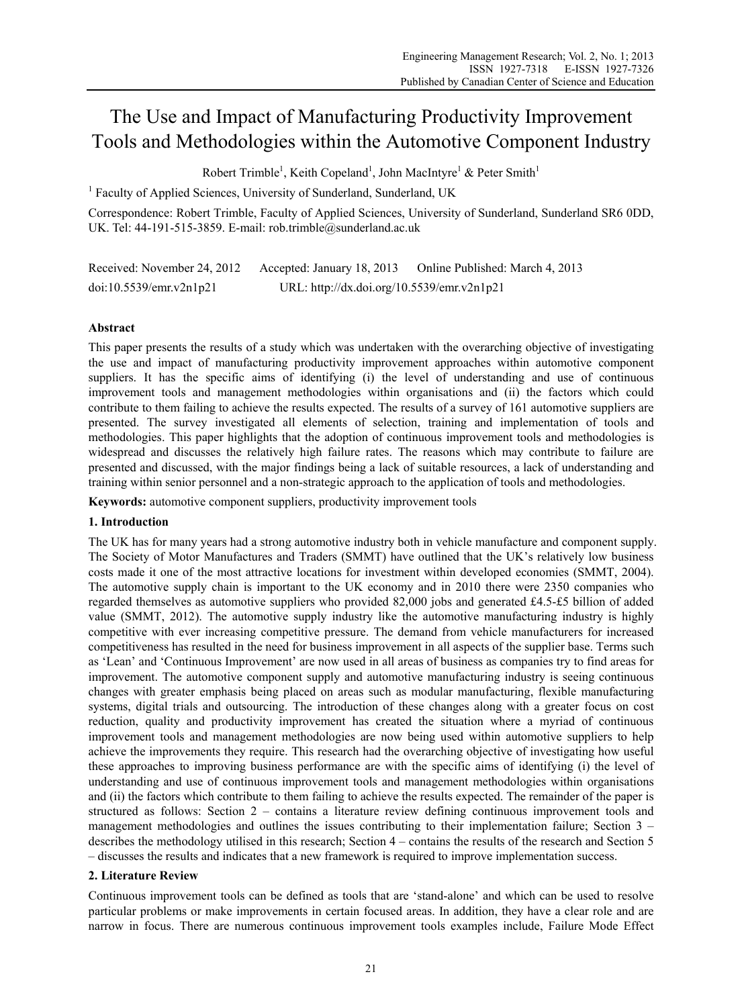# The Use and Impact of Manufacturing Productivity Improvement Tools and Methodologies within the Automotive Component Industry

Robert Trimble<sup>1</sup>, Keith Copeland<sup>1</sup>, John MacIntyre<sup>1</sup> & Peter Smith<sup>1</sup>

<sup>1</sup> Faculty of Applied Sciences, University of Sunderland, Sunderland, UK

Correspondence: Robert Trimble, Faculty of Applied Sciences, University of Sunderland, Sunderland SR6 0DD, UK. Tel: 44-191-515-3859. E-mail: rob.trimble@sunderland.ac.uk

Received: November 24, 2012 Accepted: January 18, 2013 Online Published: March 4, 2013 doi:10.5539/emr.v2n1p21 URL: http://dx.doi.org/10.5539/emr.v2n1p21

# **Abstract**

This paper presents the results of a study which was undertaken with the overarching objective of investigating the use and impact of manufacturing productivity improvement approaches within automotive component suppliers. It has the specific aims of identifying (i) the level of understanding and use of continuous improvement tools and management methodologies within organisations and (ii) the factors which could contribute to them failing to achieve the results expected. The results of a survey of 161 automotive suppliers are presented. The survey investigated all elements of selection, training and implementation of tools and methodologies. This paper highlights that the adoption of continuous improvement tools and methodologies is widespread and discusses the relatively high failure rates. The reasons which may contribute to failure are presented and discussed, with the major findings being a lack of suitable resources, a lack of understanding and training within senior personnel and a non-strategic approach to the application of tools and methodologies.

**Keywords:** automotive component suppliers, productivity improvement tools

#### **1. Introduction**

The UK has for many years had a strong automotive industry both in vehicle manufacture and component supply. The Society of Motor Manufactures and Traders (SMMT) have outlined that the UK's relatively low business costs made it one of the most attractive locations for investment within developed economies (SMMT, 2004). The automotive supply chain is important to the UK economy and in 2010 there were 2350 companies who regarded themselves as automotive suppliers who provided 82,000 jobs and generated £4.5-£5 billion of added value (SMMT, 2012). The automotive supply industry like the automotive manufacturing industry is highly competitive with ever increasing competitive pressure. The demand from vehicle manufacturers for increased competitiveness has resulted in the need for business improvement in all aspects of the supplier base. Terms such as 'Lean' and 'Continuous Improvement' are now used in all areas of business as companies try to find areas for improvement. The automotive component supply and automotive manufacturing industry is seeing continuous changes with greater emphasis being placed on areas such as modular manufacturing, flexible manufacturing systems, digital trials and outsourcing. The introduction of these changes along with a greater focus on cost reduction, quality and productivity improvement has created the situation where a myriad of continuous improvement tools and management methodologies are now being used within automotive suppliers to help achieve the improvements they require. This research had the overarching objective of investigating how useful these approaches to improving business performance are with the specific aims of identifying (i) the level of understanding and use of continuous improvement tools and management methodologies within organisations and (ii) the factors which contribute to them failing to achieve the results expected. The remainder of the paper is structured as follows: Section 2 – contains a literature review defining continuous improvement tools and management methodologies and outlines the issues contributing to their implementation failure; Section 3 – describes the methodology utilised in this research; Section 4 – contains the results of the research and Section 5 – discusses the results and indicates that a new framework is required to improve implementation success.

#### **2. Literature Review**

Continuous improvement tools can be defined as tools that are 'stand-alone' and which can be used to resolve particular problems or make improvements in certain focused areas. In addition, they have a clear role and are narrow in focus. There are numerous continuous improvement tools examples include, Failure Mode Effect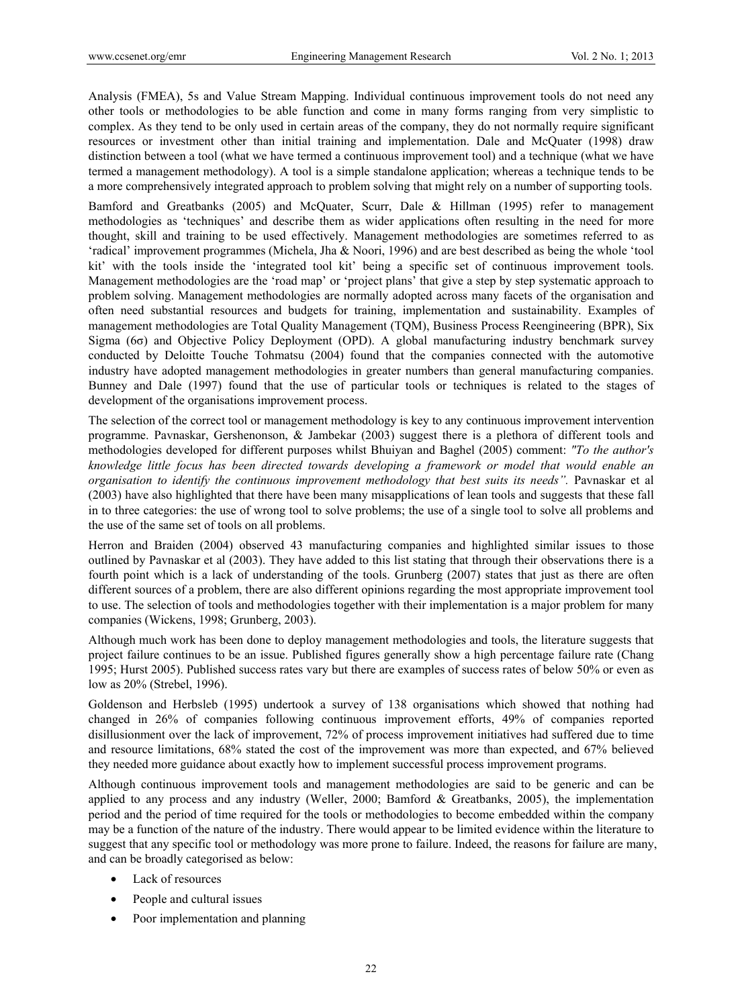Analysis (FMEA), 5s and Value Stream Mapping. Individual continuous improvement tools do not need any other tools or methodologies to be able function and come in many forms ranging from very simplistic to complex. As they tend to be only used in certain areas of the company, they do not normally require significant resources or investment other than initial training and implementation. Dale and McQuater (1998) draw distinction between a tool (what we have termed a continuous improvement tool) and a technique (what we have termed a management methodology). A tool is a simple standalone application; whereas a technique tends to be a more comprehensively integrated approach to problem solving that might rely on a number of supporting tools.

Bamford and Greatbanks (2005) and McQuater, Scurr, Dale & Hillman (1995) refer to management methodologies as 'techniques' and describe them as wider applications often resulting in the need for more thought, skill and training to be used effectively. Management methodologies are sometimes referred to as 'radical' improvement programmes (Michela, Jha & Noori, 1996) and are best described as being the whole 'tool kit' with the tools inside the 'integrated tool kit' being a specific set of continuous improvement tools. Management methodologies are the 'road map' or 'project plans' that give a step by step systematic approach to problem solving. Management methodologies are normally adopted across many facets of the organisation and often need substantial resources and budgets for training, implementation and sustainability. Examples of management methodologies are Total Quality Management (TQM), Business Process Reengineering (BPR), Six Sigma (6σ) and Objective Policy Deployment (OPD). A global manufacturing industry benchmark survey conducted by Deloitte Touche Tohmatsu (2004) found that the companies connected with the automotive industry have adopted management methodologies in greater numbers than general manufacturing companies. Bunney and Dale (1997) found that the use of particular tools or techniques is related to the stages of development of the organisations improvement process.

The selection of the correct tool or management methodology is key to any continuous improvement intervention programme. Pavnaskar, Gershenonson, & Jambekar (2003) suggest there is a plethora of different tools and methodologies developed for different purposes whilst Bhuiyan and Baghel (2005) comment: *"To the author's knowledge little focus has been directed towards developing a framework or model that would enable an organisation to identify the continuous improvement methodology that best suits its needs".* Pavnaskar et al (2003) have also highlighted that there have been many misapplications of lean tools and suggests that these fall in to three categories: the use of wrong tool to solve problems; the use of a single tool to solve all problems and the use of the same set of tools on all problems.

Herron and Braiden (2004) observed 43 manufacturing companies and highlighted similar issues to those outlined by Pavnaskar et al (2003). They have added to this list stating that through their observations there is a fourth point which is a lack of understanding of the tools. Grunberg (2007) states that just as there are often different sources of a problem, there are also different opinions regarding the most appropriate improvement tool to use. The selection of tools and methodologies together with their implementation is a major problem for many companies (Wickens, 1998; Grunberg, 2003).

Although much work has been done to deploy management methodologies and tools, the literature suggests that project failure continues to be an issue. Published figures generally show a high percentage failure rate (Chang 1995; Hurst 2005). Published success rates vary but there are examples of success rates of below 50% or even as low as 20% (Strebel, 1996).

Goldenson and Herbsleb (1995) undertook a survey of 138 organisations which showed that nothing had changed in 26% of companies following continuous improvement efforts, 49% of companies reported disillusionment over the lack of improvement, 72% of process improvement initiatives had suffered due to time and resource limitations, 68% stated the cost of the improvement was more than expected, and 67% believed they needed more guidance about exactly how to implement successful process improvement programs.

Although continuous improvement tools and management methodologies are said to be generic and can be applied to any process and any industry (Weller, 2000; Bamford & Greatbanks, 2005), the implementation period and the period of time required for the tools or methodologies to become embedded within the company may be a function of the nature of the industry. There would appear to be limited evidence within the literature to suggest that any specific tool or methodology was more prone to failure. Indeed, the reasons for failure are many, and can be broadly categorised as below:

- Lack of resources
- People and cultural issues
- Poor implementation and planning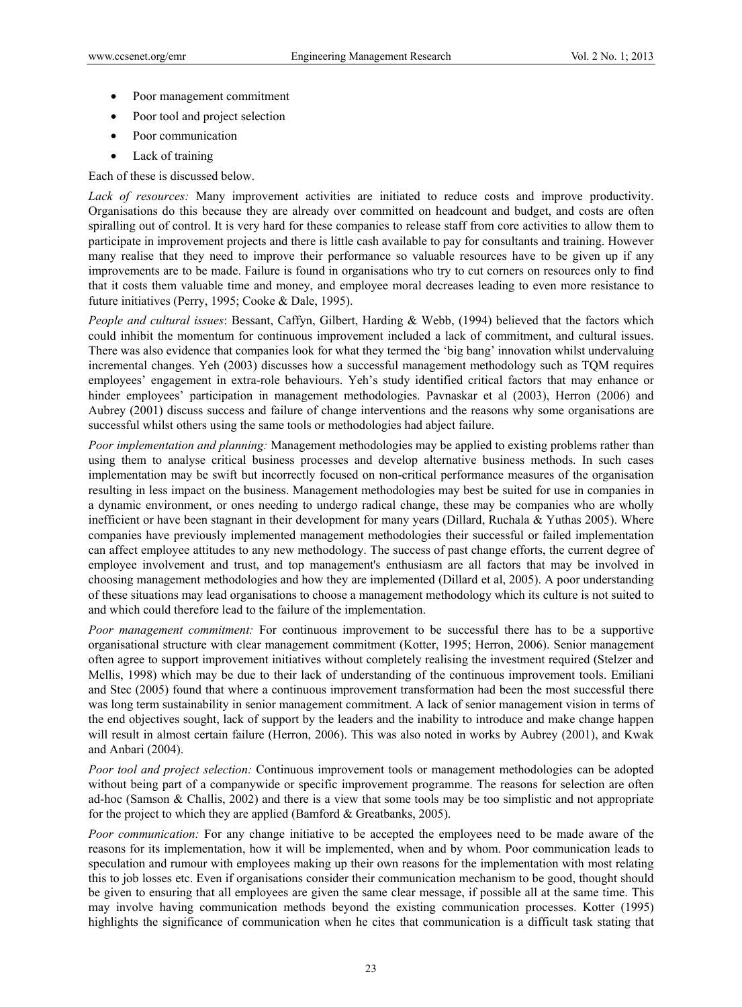- Poor management commitment
- Poor tool and project selection
- Poor communication
- Lack of training

Each of these is discussed below.

*Lack of resources:* Many improvement activities are initiated to reduce costs and improve productivity. Organisations do this because they are already over committed on headcount and budget, and costs are often spiralling out of control. It is very hard for these companies to release staff from core activities to allow them to participate in improvement projects and there is little cash available to pay for consultants and training. However many realise that they need to improve their performance so valuable resources have to be given up if any improvements are to be made. Failure is found in organisations who try to cut corners on resources only to find that it costs them valuable time and money, and employee moral decreases leading to even more resistance to future initiatives (Perry, 1995; Cooke & Dale, 1995).

*People and cultural issues*: Bessant, Caffyn, Gilbert, Harding & Webb, (1994) believed that the factors which could inhibit the momentum for continuous improvement included a lack of commitment, and cultural issues. There was also evidence that companies look for what they termed the 'big bang' innovation whilst undervaluing incremental changes. Yeh (2003) discusses how a successful management methodology such as TQM requires employees' engagement in extra-role behaviours. Yeh's study identified critical factors that may enhance or hinder employees' participation in management methodologies. Pavnaskar et al (2003), Herron (2006) and Aubrey (2001) discuss success and failure of change interventions and the reasons why some organisations are successful whilst others using the same tools or methodologies had abject failure.

*Poor implementation and planning:* Management methodologies may be applied to existing problems rather than using them to analyse critical business processes and develop alternative business methods. In such cases implementation may be swift but incorrectly focused on non-critical performance measures of the organisation resulting in less impact on the business. Management methodologies may best be suited for use in companies in a dynamic environment, or ones needing to undergo radical change, these may be companies who are wholly inefficient or have been stagnant in their development for many years (Dillard, Ruchala & Yuthas 2005). Where companies have previously implemented management methodologies their successful or failed implementation can affect employee attitudes to any new methodology. The success of past change efforts, the current degree of employee involvement and trust, and top management's enthusiasm are all factors that may be involved in choosing management methodologies and how they are implemented (Dillard et al, 2005). A poor understanding of these situations may lead organisations to choose a management methodology which its culture is not suited to and which could therefore lead to the failure of the implementation.

*Poor management commitment:* For continuous improvement to be successful there has to be a supportive organisational structure with clear management commitment (Kotter, 1995; Herron, 2006). Senior management often agree to support improvement initiatives without completely realising the investment required (Stelzer and Mellis, 1998) which may be due to their lack of understanding of the continuous improvement tools. Emiliani and Stec (2005) found that where a continuous improvement transformation had been the most successful there was long term sustainability in senior management commitment. A lack of senior management vision in terms of the end objectives sought, lack of support by the leaders and the inability to introduce and make change happen will result in almost certain failure (Herron, 2006). This was also noted in works by Aubrey (2001), and Kwak and Anbari (2004).

*Poor tool and project selection:* Continuous improvement tools or management methodologies can be adopted without being part of a companywide or specific improvement programme. The reasons for selection are often ad-hoc (Samson & Challis, 2002) and there is a view that some tools may be too simplistic and not appropriate for the project to which they are applied (Bamford & Greatbanks, 2005).

*Poor communication:* For any change initiative to be accepted the employees need to be made aware of the reasons for its implementation, how it will be implemented, when and by whom. Poor communication leads to speculation and rumour with employees making up their own reasons for the implementation with most relating this to job losses etc. Even if organisations consider their communication mechanism to be good, thought should be given to ensuring that all employees are given the same clear message, if possible all at the same time. This may involve having communication methods beyond the existing communication processes. Kotter (1995) highlights the significance of communication when he cites that communication is a difficult task stating that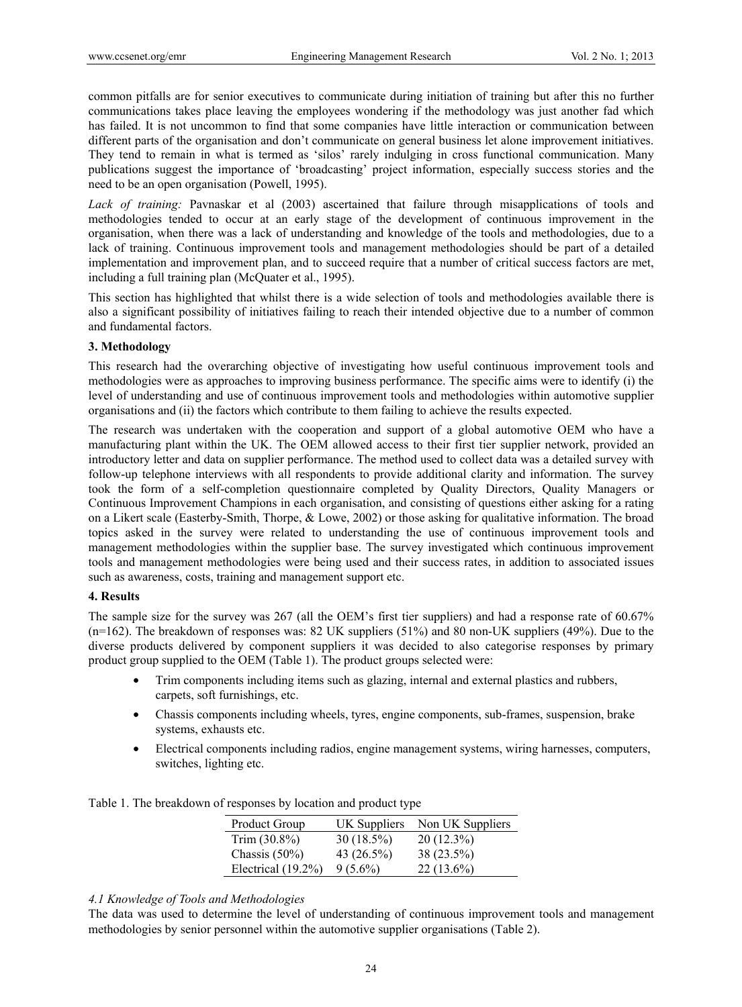common pitfalls are for senior executives to communicate during initiation of training but after this no further communications takes place leaving the employees wondering if the methodology was just another fad which has failed. It is not uncommon to find that some companies have little interaction or communication between different parts of the organisation and don't communicate on general business let alone improvement initiatives. They tend to remain in what is termed as 'silos' rarely indulging in cross functional communication. Many publications suggest the importance of 'broadcasting' project information, especially success stories and the need to be an open organisation (Powell, 1995).

*Lack of training:* Pavnaskar et al (2003) ascertained that failure through misapplications of tools and methodologies tended to occur at an early stage of the development of continuous improvement in the organisation, when there was a lack of understanding and knowledge of the tools and methodologies, due to a lack of training. Continuous improvement tools and management methodologies should be part of a detailed implementation and improvement plan, and to succeed require that a number of critical success factors are met, including a full training plan (McQuater et al., 1995).

This section has highlighted that whilst there is a wide selection of tools and methodologies available there is also a significant possibility of initiatives failing to reach their intended objective due to a number of common and fundamental factors.

# **3. Methodology**

This research had the overarching objective of investigating how useful continuous improvement tools and methodologies were as approaches to improving business performance. The specific aims were to identify (i) the level of understanding and use of continuous improvement tools and methodologies within automotive supplier organisations and (ii) the factors which contribute to them failing to achieve the results expected.

The research was undertaken with the cooperation and support of a global automotive OEM who have a manufacturing plant within the UK. The OEM allowed access to their first tier supplier network, provided an introductory letter and data on supplier performance. The method used to collect data was a detailed survey with follow-up telephone interviews with all respondents to provide additional clarity and information. The survey took the form of a self-completion questionnaire completed by Quality Directors, Quality Managers or Continuous Improvement Champions in each organisation, and consisting of questions either asking for a rating on a Likert scale (Easterby-Smith, Thorpe, & Lowe, 2002) or those asking for qualitative information. The broad topics asked in the survey were related to understanding the use of continuous improvement tools and management methodologies within the supplier base. The survey investigated which continuous improvement tools and management methodologies were being used and their success rates, in addition to associated issues such as awareness, costs, training and management support etc.

#### **4. Results**

The sample size for the survey was 267 (all the OEM's first tier suppliers) and had a response rate of 60.67% (n=162). The breakdown of responses was: 82 UK suppliers (51%) and 80 non-UK suppliers (49%). Due to the diverse products delivered by component suppliers it was decided to also categorise responses by primary product group supplied to the OEM (Table 1). The product groups selected were:

- Trim components including items such as glazing, internal and external plastics and rubbers, carpets, soft furnishings, etc.
- Chassis components including wheels, tyres, engine components, sub-frames, suspension, brake systems, exhausts etc.
- Electrical components including radios, engine management systems, wiring harnesses, computers, switches, lighting etc.

| <b>Product Group</b>  | UK Suppliers  | Non UK Suppliers |
|-----------------------|---------------|------------------|
| Trim $(30.8\%)$       | $30(18.5\%)$  | $20(12.3\%)$     |
| Chassis $(50\%)$      | 43 $(26.5\%)$ | 38 (23.5%)       |
| Electrical $(19.2\%)$ | $9(5.6\%)$    | $22(13.6\%)$     |

| Table 1. The breakdown of responses by location and product type |  |  |  |
|------------------------------------------------------------------|--|--|--|
|------------------------------------------------------------------|--|--|--|

#### *4.1 Knowledge of Tools and Methodologies*

The data was used to determine the level of understanding of continuous improvement tools and management methodologies by senior personnel within the automotive supplier organisations (Table 2).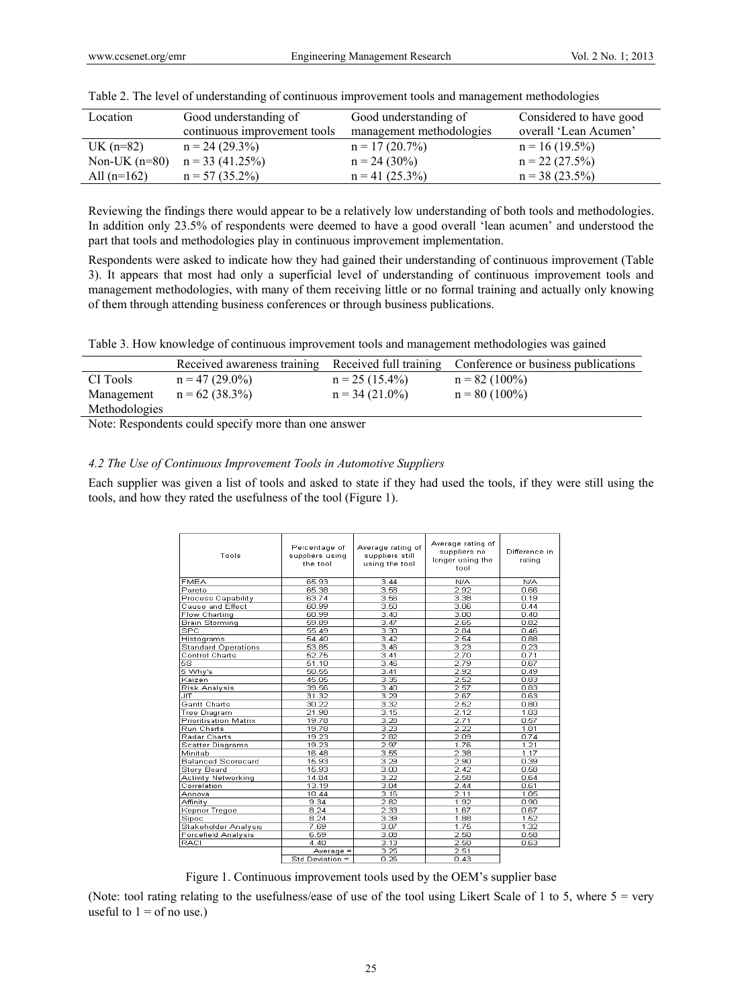| Location        | Good understanding of        | Good understanding of    | Considered to have good |
|-----------------|------------------------------|--------------------------|-------------------------|
|                 | continuous improvement tools | management methodologies | overall 'Lean Acumen'   |
| UK $(n=82)$     | $n = 24(29.3\%)$             | $n = 17(20.7%)$          | $n = 16(19.5\%)$        |
| Non-UK $(n=80)$ | $n = 33(41.25%)$             | $n = 24$ (30%)           | $n = 22$ (27.5%)        |
| All $(n=162)$   | $n = 57(35.2\%)$             | $n = 41(25.3\%)$         | $n = 38(23.5\%)$        |

Table 2. The level of understanding of continuous improvement tools and management methodologies

Reviewing the findings there would appear to be a relatively low understanding of both tools and methodologies. In addition only 23.5% of respondents were deemed to have a good overall 'lean acumen' and understood the part that tools and methodologies play in continuous improvement implementation.

Respondents were asked to indicate how they had gained their understanding of continuous improvement (Table 3). It appears that most had only a superficial level of understanding of continuous improvement tools and management methodologies, with many of them receiving little or no formal training and actually only knowing of them through attending business conferences or through business publications.

| Table 3. How knowledge of continuous improvement tools and management methodologies was gained |  |  |  |
|------------------------------------------------------------------------------------------------|--|--|--|
|                                                                                                |  |  |  |

|               | Received awareness training Received full training |                  | Conference or business publications |
|---------------|----------------------------------------------------|------------------|-------------------------------------|
| CI Tools      | $n = 47(29.0\%)$                                   | $n = 25(15.4\%)$ | $n = 82 (100\%)$                    |
| Management    | $n = 62$ (38.3%)                                   | $n = 34(21.0\%)$ | $n = 80(100\%)$                     |
| Methodologies |                                                    |                  |                                     |
|               |                                                    |                  |                                     |

Note: Respondents could specify more than one answer

# *4.2 The Use of Continuous Improvement Tools in Automotive Suppliers*

Each supplier was given a list of tools and asked to state if they had used the tools, if they were still using the tools, and how they rated the usefulness of the tool (Figure 1).

| Tools                        | Percentage of<br>suppliers using<br>the tool | Average rating of<br>suppliers still<br>using the tool | Average rating of<br>suppliers no<br>longer using the<br>tool | Difference in<br>rating |
|------------------------------|----------------------------------------------|--------------------------------------------------------|---------------------------------------------------------------|-------------------------|
| <b>FMEA</b>                  | 65.93                                        | 3.44                                                   | N/A                                                           | N/A                     |
| Pareto                       | 65.38                                        | 3.58                                                   | 2.92                                                          | 0.66                    |
| Process Capability           | 63.74                                        | 3.56                                                   | 3.38                                                          | 0.19                    |
| Cause and Effect             | 60.99                                        | 3.50                                                   | 3.06                                                          | 0.44                    |
| Flow Charting                | 60.99                                        | 3.40                                                   | 3.00                                                          | 0.40                    |
| <b>Brain Storming</b>        | 59.89                                        | 3.47                                                   | 2.65                                                          | 0.82                    |
| SPC                          | 55.49                                        | 3.30                                                   | 2.84                                                          | 0.46                    |
| Histograms                   | 54.40                                        | 3.42                                                   | 2.54                                                          | 0.88                    |
| <b>Standard Operations</b>   | 53.85                                        | 3.46                                                   | 3.23                                                          | 0.23                    |
| Control Charts               | 52.75                                        | 3.41                                                   | 2.70                                                          | 0.71                    |
| 5S                           | 51.10                                        | 3.46                                                   | 2.79                                                          | 0.67                    |
| 5 Why's                      | 50.55                                        | 3.41                                                   | 2.92                                                          | 0.49                    |
| Kaizen                       | 45.05                                        | 3.35                                                   | 2.52                                                          | 0.83                    |
| <b>Risk Analysis</b>         | 39.56                                        | 3.40                                                   | 2.57                                                          | 0.83                    |
| <b>JIT</b>                   | 31.32                                        | 3.29                                                   | 2.67                                                          | 0.63                    |
| Gantt Charts                 | 30.22                                        | 3.32                                                   | 2.52                                                          | 0.80                    |
| <b>Tree Diagram</b>          | 21.98                                        | 3.15                                                   | 2.12                                                          | 1.03                    |
| <b>Prioritisation Matrix</b> | 19.78                                        | 3.28                                                   | 2.71                                                          | 0.57                    |
| Run Charts                   | 19.78                                        | 3.23                                                   | 2.22                                                          | 1.01                    |
| Radar Charts                 | 19.23                                        | 2.82                                                   | 2.09                                                          | 0.74                    |
| <b>Scatter Diagrams</b>      | 19.23                                        | 2.97                                                   | 1.76                                                          | 1.21                    |
| Minitab                      | 16.48                                        | 3.55                                                   | 2.38                                                          | 1.17                    |
| <b>Balanced Scorecard</b>    | 15.93                                        | 3.29                                                   | 2.90                                                          | 0.39                    |
| Story Board                  | 15.93                                        | 3.00                                                   | 2.42                                                          | 0.58                    |
| <b>Activity Networking</b>   | 14.84                                        | 3.22                                                   | 2.58                                                          | 0.64                    |
| Correlation                  | 13.19                                        | 3.04                                                   | 2.44                                                          | 0.61                    |
| Annova                       | 10.44                                        | 3.16                                                   | 2.11                                                          | 1.05                    |
| Affinity                     | 9.34                                         | 2.82                                                   | 1.92                                                          | 0.90                    |
| Kepnor Tregoe                | 8.24                                         | 2.33                                                   | 1.67                                                          | 0.67                    |
| Sipoc                        | 8.24                                         | 3.39                                                   | 1.88                                                          | 1.52                    |
| Stakeholder Analysis         | 7.69                                         | 3.07                                                   | 1.75                                                          | 1.32                    |
| Forcefield Analysis          | 6.59                                         | 3.08                                                   | 2.50                                                          | 0.58                    |
| RACI                         | 4.40                                         | 3.13                                                   | 2.50                                                          | 0.63                    |
|                              | Average =                                    | 3.25                                                   | 2.51                                                          |                         |
|                              | Std Deviation =                              | 0.26                                                   | 0.43                                                          |                         |

Figure 1. Continuous improvement tools used by the OEM's supplier base

(Note: tool rating relating to the usefulness/ease of use of the tool using Likert Scale of 1 to 5, where  $5 = \text{very}$ ) useful to  $1 =$  of no use.)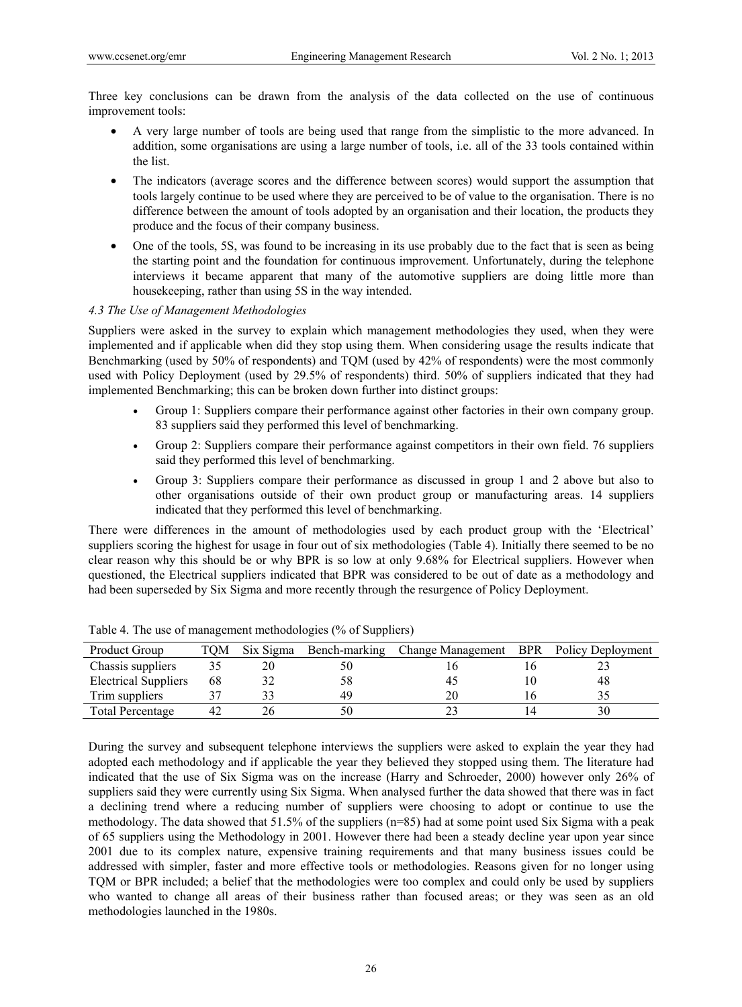Three key conclusions can be drawn from the analysis of the data collected on the use of continuous improvement tools:

- A very large number of tools are being used that range from the simplistic to the more advanced. In addition, some organisations are using a large number of tools, i.e. all of the 33 tools contained within the list.
- The indicators (average scores and the difference between scores) would support the assumption that tools largely continue to be used where they are perceived to be of value to the organisation. There is no difference between the amount of tools adopted by an organisation and their location, the products they produce and the focus of their company business.
- One of the tools, 5S, was found to be increasing in its use probably due to the fact that is seen as being the starting point and the foundation for continuous improvement. Unfortunately, during the telephone interviews it became apparent that many of the automotive suppliers are doing little more than housekeeping, rather than using 5S in the way intended.

# *4.3 The Use of Management Methodologies*

Suppliers were asked in the survey to explain which management methodologies they used, when they were implemented and if applicable when did they stop using them. When considering usage the results indicate that Benchmarking (used by 50% of respondents) and TQM (used by 42% of respondents) were the most commonly used with Policy Deployment (used by 29.5% of respondents) third. 50% of suppliers indicated that they had implemented Benchmarking; this can be broken down further into distinct groups:

- Group 1: Suppliers compare their performance against other factories in their own company group. 83 suppliers said they performed this level of benchmarking.
- Group 2: Suppliers compare their performance against competitors in their own field. 76 suppliers said they performed this level of benchmarking.
- Group 3: Suppliers compare their performance as discussed in group 1 and 2 above but also to other organisations outside of their own product group or manufacturing areas. 14 suppliers indicated that they performed this level of benchmarking.

There were differences in the amount of methodologies used by each product group with the 'Electrical' suppliers scoring the highest for usage in four out of six methodologies (Table 4). Initially there seemed to be no clear reason why this should be or why BPR is so low at only 9.68% for Electrical suppliers. However when questioned, the Electrical suppliers indicated that BPR was considered to be out of date as a methodology and had been superseded by Six Sigma and more recently through the resurgence of Policy Deployment.

| Product Group               | TOM | Six Sigma | Bench-marking | Change Management | BPR | Policy Deployment |
|-----------------------------|-----|-----------|---------------|-------------------|-----|-------------------|
| Chassis suppliers           |     | 20        | эu            |                   |     |                   |
| <b>Electrical Suppliers</b> | 68  |           | 58            |                   |     | 48                |
| Trim suppliers              |     |           | 49            | 20                |     |                   |
| Total Percentage            | 42  |           | $_{\rm 50}$   |                   |     |                   |

Table 4. The use of management methodologies (% of Suppliers)

During the survey and subsequent telephone interviews the suppliers were asked to explain the year they had adopted each methodology and if applicable the year they believed they stopped using them. The literature had indicated that the use of Six Sigma was on the increase (Harry and Schroeder, 2000) however only 26% of suppliers said they were currently using Six Sigma. When analysed further the data showed that there was in fact a declining trend where a reducing number of suppliers were choosing to adopt or continue to use the methodology. The data showed that 51.5% of the suppliers (n=85) had at some point used Six Sigma with a peak of 65 suppliers using the Methodology in 2001. However there had been a steady decline year upon year since 2001 due to its complex nature, expensive training requirements and that many business issues could be addressed with simpler, faster and more effective tools or methodologies. Reasons given for no longer using TQM or BPR included; a belief that the methodologies were too complex and could only be used by suppliers who wanted to change all areas of their business rather than focused areas; or they was seen as an old methodologies launched in the 1980s.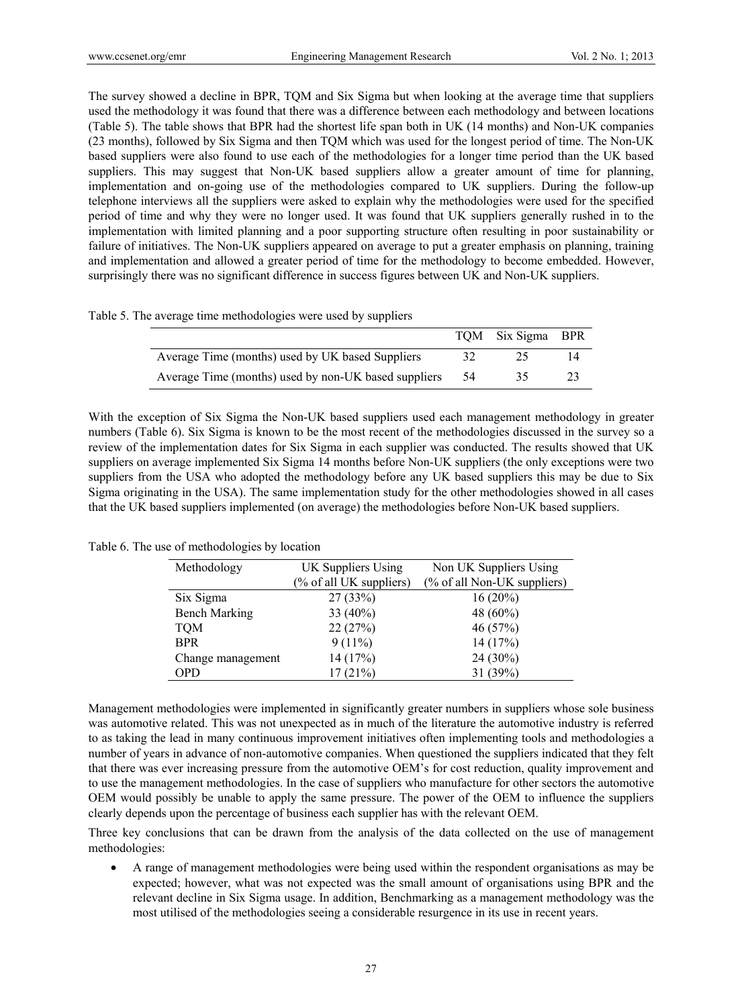The survey showed a decline in BPR, TQM and Six Sigma but when looking at the average time that suppliers used the methodology it was found that there was a difference between each methodology and between locations (Table 5). The table shows that BPR had the shortest life span both in UK (14 months) and Non-UK companies (23 months), followed by Six Sigma and then TQM which was used for the longest period of time. The Non-UK based suppliers were also found to use each of the methodologies for a longer time period than the UK based suppliers. This may suggest that Non-UK based suppliers allow a greater amount of time for planning, implementation and on-going use of the methodologies compared to UK suppliers. During the follow-up telephone interviews all the suppliers were asked to explain why the methodologies were used for the specified period of time and why they were no longer used. It was found that UK suppliers generally rushed in to the implementation with limited planning and a poor supporting structure often resulting in poor sustainability or failure of initiatives. The Non-UK suppliers appeared on average to put a greater emphasis on planning, training and implementation and allowed a greater period of time for the methodology to become embedded. However, surprisingly there was no significant difference in success figures between UK and Non-UK suppliers.

Table 5. The average time methodologies were used by suppliers

|                                                      |     | TQM Six Sigma BPR |    |
|------------------------------------------------------|-----|-------------------|----|
| Average Time (months) used by UK based Suppliers     |     |                   |    |
| Average Time (months) used by non-UK based suppliers | -54 | 35                | 23 |

With the exception of Six Sigma the Non-UK based suppliers used each management methodology in greater numbers (Table 6). Six Sigma is known to be the most recent of the methodologies discussed in the survey so a review of the implementation dates for Six Sigma in each supplier was conducted. The results showed that UK suppliers on average implemented Six Sigma 14 months before Non-UK suppliers (the only exceptions were two suppliers from the USA who adopted the methodology before any UK based suppliers this may be due to Six Sigma originating in the USA). The same implementation study for the other methodologies showed in all cases that the UK based suppliers implemented (on average) the methodologies before Non-UK based suppliers.

| Methodology          | <b>UK Suppliers Using</b> | Non UK Suppliers Using      |
|----------------------|---------------------------|-----------------------------|
|                      | (% of all UK suppliers)   | (% of all Non-UK suppliers) |
| Six Sigma            | 27(33%)                   | $16(20\%)$                  |
| <b>Bench Marking</b> | 33 (40%)                  | 48 (60%)                    |
| <b>TOM</b>           | 22(27%)                   | 46 (57%)                    |
| <b>BPR</b>           | $9(11\%)$                 | 14(17%)                     |
| Change management    | 14 (17%)                  | 24 (30%)                    |
| <b>OPD</b>           | 17(21%)                   | 31 (39%)                    |

Table 6. The use of methodologies by location

Management methodologies were implemented in significantly greater numbers in suppliers whose sole business was automotive related. This was not unexpected as in much of the literature the automotive industry is referred to as taking the lead in many continuous improvement initiatives often implementing tools and methodologies a number of years in advance of non-automotive companies. When questioned the suppliers indicated that they felt that there was ever increasing pressure from the automotive OEM's for cost reduction, quality improvement and to use the management methodologies. In the case of suppliers who manufacture for other sectors the automotive OEM would possibly be unable to apply the same pressure. The power of the OEM to influence the suppliers clearly depends upon the percentage of business each supplier has with the relevant OEM.

Three key conclusions that can be drawn from the analysis of the data collected on the use of management methodologies:

 A range of management methodologies were being used within the respondent organisations as may be expected; however, what was not expected was the small amount of organisations using BPR and the relevant decline in Six Sigma usage. In addition, Benchmarking as a management methodology was the most utilised of the methodologies seeing a considerable resurgence in its use in recent years.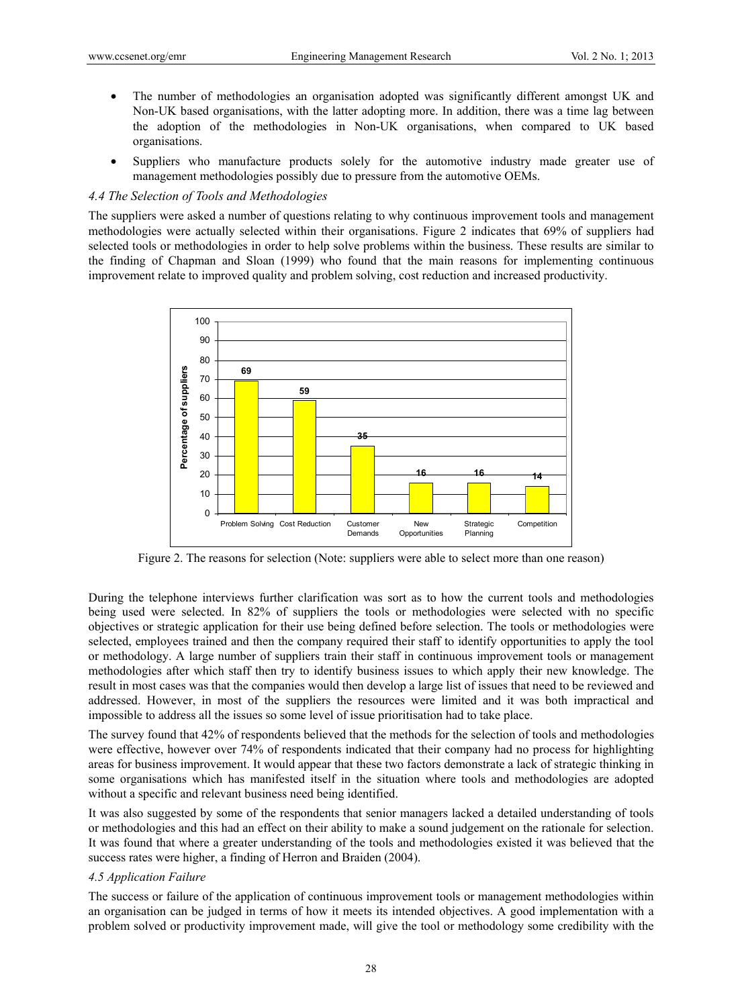- The number of methodologies an organisation adopted was significantly different amongst UK and Non-UK based organisations, with the latter adopting more. In addition, there was a time lag between the adoption of the methodologies in Non-UK organisations, when compared to UK based organisations.
- Suppliers who manufacture products solely for the automotive industry made greater use of management methodologies possibly due to pressure from the automotive OEMs.

# *4.4 The Selection of Tools and Methodologies*

The suppliers were asked a number of questions relating to why continuous improvement tools and management methodologies were actually selected within their organisations. Figure 2 indicates that 69% of suppliers had selected tools or methodologies in order to help solve problems within the business. These results are similar to the finding of Chapman and Sloan (1999) who found that the main reasons for implementing continuous improvement relate to improved quality and problem solving, cost reduction and increased productivity.



Figure 2. The reasons for selection (Note: suppliers were able to select more than one reason)

During the telephone interviews further clarification was sort as to how the current tools and methodologies being used were selected. In 82% of suppliers the tools or methodologies were selected with no specific objectives or strategic application for their use being defined before selection. The tools or methodologies were selected, employees trained and then the company required their staff to identify opportunities to apply the tool or methodology. A large number of suppliers train their staff in continuous improvement tools or management methodologies after which staff then try to identify business issues to which apply their new knowledge. The result in most cases was that the companies would then develop a large list of issues that need to be reviewed and addressed. However, in most of the suppliers the resources were limited and it was both impractical and impossible to address all the issues so some level of issue prioritisation had to take place.

The survey found that 42% of respondents believed that the methods for the selection of tools and methodologies were effective, however over 74% of respondents indicated that their company had no process for highlighting areas for business improvement. It would appear that these two factors demonstrate a lack of strategic thinking in some organisations which has manifested itself in the situation where tools and methodologies are adopted without a specific and relevant business need being identified.

It was also suggested by some of the respondents that senior managers lacked a detailed understanding of tools or methodologies and this had an effect on their ability to make a sound judgement on the rationale for selection. It was found that where a greater understanding of the tools and methodologies existed it was believed that the success rates were higher, a finding of Herron and Braiden (2004).

#### *4.5 Application Failure*

The success or failure of the application of continuous improvement tools or management methodologies within an organisation can be judged in terms of how it meets its intended objectives. A good implementation with a problem solved or productivity improvement made, will give the tool or methodology some credibility with the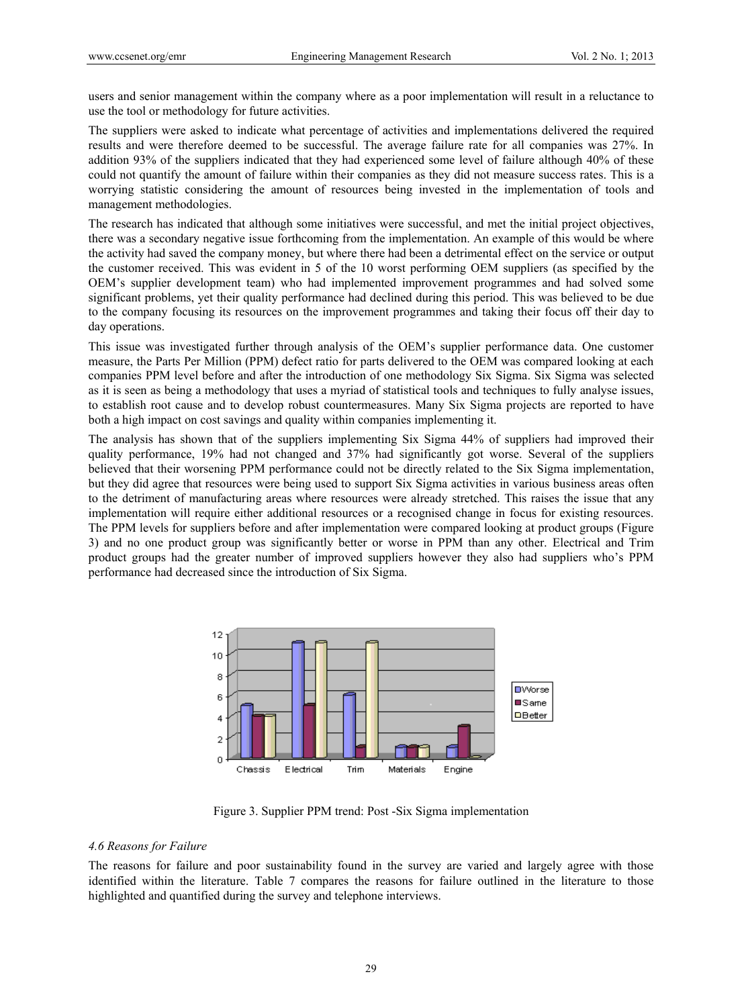users and senior management within the company where as a poor implementation will result in a reluctance to use the tool or methodology for future activities.

The suppliers were asked to indicate what percentage of activities and implementations delivered the required results and were therefore deemed to be successful. The average failure rate for all companies was 27%. In addition 93% of the suppliers indicated that they had experienced some level of failure although 40% of these could not quantify the amount of failure within their companies as they did not measure success rates. This is a worrying statistic considering the amount of resources being invested in the implementation of tools and management methodologies.

The research has indicated that although some initiatives were successful, and met the initial project objectives, there was a secondary negative issue forthcoming from the implementation. An example of this would be where the activity had saved the company money, but where there had been a detrimental effect on the service or output the customer received. This was evident in 5 of the 10 worst performing OEM suppliers (as specified by the OEM's supplier development team) who had implemented improvement programmes and had solved some significant problems, yet their quality performance had declined during this period. This was believed to be due to the company focusing its resources on the improvement programmes and taking their focus off their day to day operations.

This issue was investigated further through analysis of the OEM's supplier performance data. One customer measure, the Parts Per Million (PPM) defect ratio for parts delivered to the OEM was compared looking at each companies PPM level before and after the introduction of one methodology Six Sigma. Six Sigma was selected as it is seen as being a methodology that uses a myriad of statistical tools and techniques to fully analyse issues, to establish root cause and to develop robust countermeasures. Many Six Sigma projects are reported to have both a high impact on cost savings and quality within companies implementing it.

The analysis has shown that of the suppliers implementing Six Sigma 44% of suppliers had improved their quality performance, 19% had not changed and 37% had significantly got worse. Several of the suppliers believed that their worsening PPM performance could not be directly related to the Six Sigma implementation, but they did agree that resources were being used to support Six Sigma activities in various business areas often to the detriment of manufacturing areas where resources were already stretched. This raises the issue that any implementation will require either additional resources or a recognised change in focus for existing resources. The PPM levels for suppliers before and after implementation were compared looking at product groups (Figure 3) and no one product group was significantly better or worse in PPM than any other. Electrical and Trim product groups had the greater number of improved suppliers however they also had suppliers who's PPM performance had decreased since the introduction of Six Sigma.



Figure 3. Supplier PPM trend: Post -Six Sigma implementation

# *4.6 Reasons for Failure*

The reasons for failure and poor sustainability found in the survey are varied and largely agree with those identified within the literature. Table 7 compares the reasons for failure outlined in the literature to those highlighted and quantified during the survey and telephone interviews.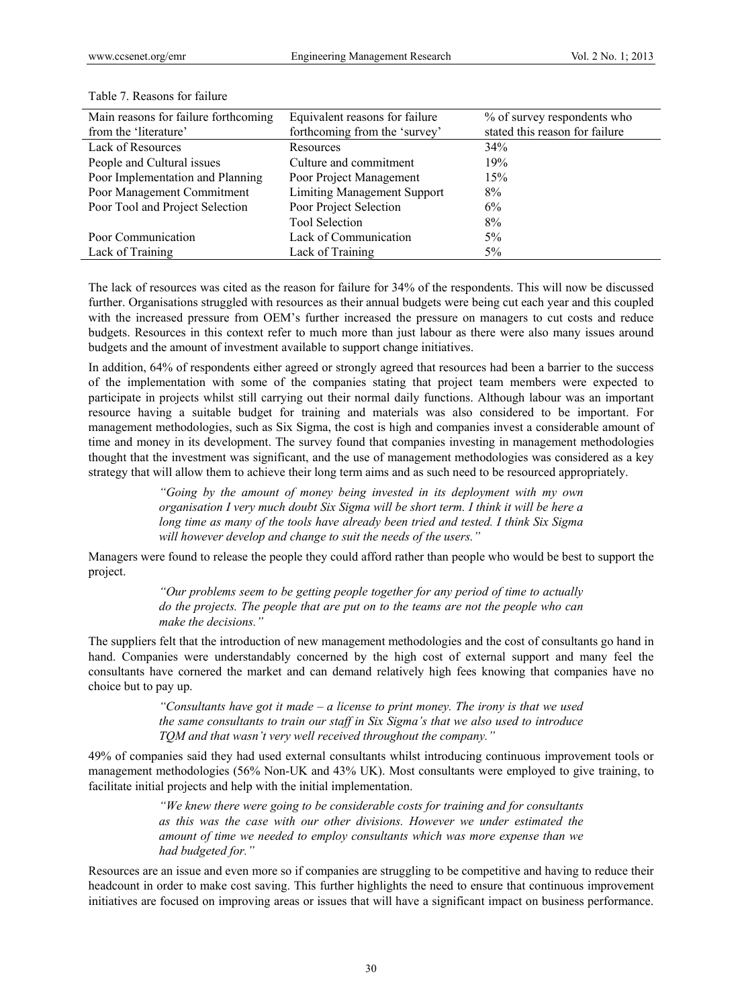| Main reasons for failure forthcoming | Equivalent reasons for failure     | % of survey respondents who    |
|--------------------------------------|------------------------------------|--------------------------------|
| from the 'literature'                | forthcoming from the 'survey'      | stated this reason for failure |
| Lack of Resources                    | Resources                          | 34%                            |
| People and Cultural issues           | Culture and commitment             | 19%                            |
| Poor Implementation and Planning     | Poor Project Management            | 15%                            |
| Poor Management Commitment           | <b>Limiting Management Support</b> | 8%                             |
| Poor Tool and Project Selection      | Poor Project Selection             | 6%                             |
|                                      | <b>Tool Selection</b>              | 8%                             |
| Poor Communication                   | Lack of Communication              | $5\%$                          |
| Lack of Training                     | Lack of Training                   | $5\%$                          |

#### Table 7. Reasons for failure

The lack of resources was cited as the reason for failure for 34% of the respondents. This will now be discussed further. Organisations struggled with resources as their annual budgets were being cut each year and this coupled with the increased pressure from OEM's further increased the pressure on managers to cut costs and reduce budgets. Resources in this context refer to much more than just labour as there were also many issues around budgets and the amount of investment available to support change initiatives.

In addition, 64% of respondents either agreed or strongly agreed that resources had been a barrier to the success of the implementation with some of the companies stating that project team members were expected to participate in projects whilst still carrying out their normal daily functions. Although labour was an important resource having a suitable budget for training and materials was also considered to be important. For management methodologies, such as Six Sigma, the cost is high and companies invest a considerable amount of time and money in its development. The survey found that companies investing in management methodologies thought that the investment was significant, and the use of management methodologies was considered as a key strategy that will allow them to achieve their long term aims and as such need to be resourced appropriately.

> *"Going by the amount of money being invested in its deployment with my own organisation I very much doubt Six Sigma will be short term. I think it will be here a long time as many of the tools have already been tried and tested. I think Six Sigma will however develop and change to suit the needs of the users."*

Managers were found to release the people they could afford rather than people who would be best to support the project.

> *"Our problems seem to be getting people together for any period of time to actually do the projects. The people that are put on to the teams are not the people who can make the decisions."*

The suppliers felt that the introduction of new management methodologies and the cost of consultants go hand in hand. Companies were understandably concerned by the high cost of external support and many feel the consultants have cornered the market and can demand relatively high fees knowing that companies have no choice but to pay up.

> *"Consultants have got it made – a license to print money. The irony is that we used the same consultants to train our staff in Six Sigma's that we also used to introduce TQM and that wasn't very well received throughout the company."*

49% of companies said they had used external consultants whilst introducing continuous improvement tools or management methodologies (56% Non-UK and 43% UK). Most consultants were employed to give training, to facilitate initial projects and help with the initial implementation.

> *"We knew there were going to be considerable costs for training and for consultants as this was the case with our other divisions. However we under estimated the amount of time we needed to employ consultants which was more expense than we had budgeted for."*

Resources are an issue and even more so if companies are struggling to be competitive and having to reduce their headcount in order to make cost saving. This further highlights the need to ensure that continuous improvement initiatives are focused on improving areas or issues that will have a significant impact on business performance.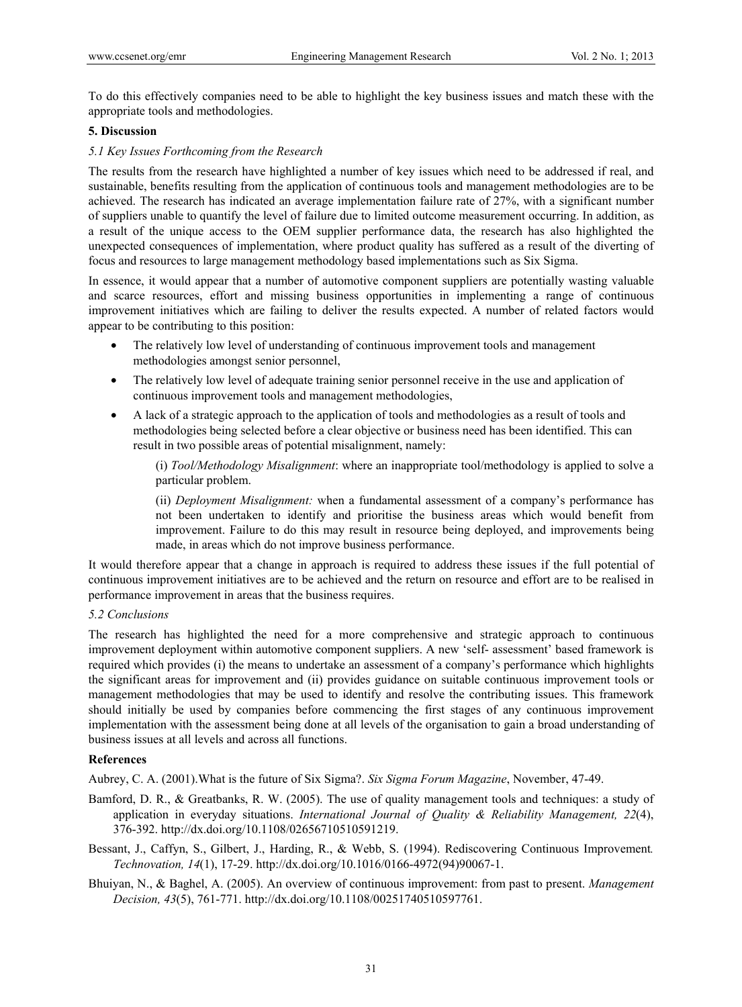To do this effectively companies need to be able to highlight the key business issues and match these with the appropriate tools and methodologies.

#### **5. Discussion**

# *5.1 Key Issues Forthcoming from the Research*

The results from the research have highlighted a number of key issues which need to be addressed if real, and sustainable, benefits resulting from the application of continuous tools and management methodologies are to be achieved. The research has indicated an average implementation failure rate of 27%, with a significant number of suppliers unable to quantify the level of failure due to limited outcome measurement occurring. In addition, as a result of the unique access to the OEM supplier performance data, the research has also highlighted the unexpected consequences of implementation, where product quality has suffered as a result of the diverting of focus and resources to large management methodology based implementations such as Six Sigma.

In essence, it would appear that a number of automotive component suppliers are potentially wasting valuable and scarce resources, effort and missing business opportunities in implementing a range of continuous improvement initiatives which are failing to deliver the results expected. A number of related factors would appear to be contributing to this position:

- The relatively low level of understanding of continuous improvement tools and management methodologies amongst senior personnel,
- The relatively low level of adequate training senior personnel receive in the use and application of continuous improvement tools and management methodologies,
- A lack of a strategic approach to the application of tools and methodologies as a result of tools and methodologies being selected before a clear objective or business need has been identified. This can result in two possible areas of potential misalignment, namely:

(i) *Tool/Methodology Misalignment*: where an inappropriate tool/methodology is applied to solve a particular problem.

(ii) *Deployment Misalignment:* when a fundamental assessment of a company's performance has not been undertaken to identify and prioritise the business areas which would benefit from improvement. Failure to do this may result in resource being deployed, and improvements being made, in areas which do not improve business performance.

It would therefore appear that a change in approach is required to address these issues if the full potential of continuous improvement initiatives are to be achieved and the return on resource and effort are to be realised in performance improvement in areas that the business requires.

#### *5.2 Conclusions*

The research has highlighted the need for a more comprehensive and strategic approach to continuous improvement deployment within automotive component suppliers. A new 'self- assessment' based framework is required which provides (i) the means to undertake an assessment of a company's performance which highlights the significant areas for improvement and (ii) provides guidance on suitable continuous improvement tools or management methodologies that may be used to identify and resolve the contributing issues. This framework should initially be used by companies before commencing the first stages of any continuous improvement implementation with the assessment being done at all levels of the organisation to gain a broad understanding of business issues at all levels and across all functions.

# **References**

Aubrey, C. A. (2001).What is the future of Six Sigma?. *Six Sigma Forum Magazine*, November, 47-49.

- Bamford, D. R., & Greatbanks, R. W. (2005). The use of quality management tools and techniques: a study of application in everyday situations. *International Journal of Quality & Reliability Management, 22*(4), 376-392. http://dx.doi.org/10.1108/02656710510591219.
- Bessant, J., Caffyn, S., Gilbert, J., Harding, R., & Webb, S. (1994). Rediscovering Continuous Improvement*. Technovation, 14*(1), 17-29. http://dx.doi.org/10.1016/0166-4972(94)90067-1.
- Bhuiyan, N., & Baghel, A. (2005). An overview of continuous improvement: from past to present. *Management Decision, 43*(5), 761-771. http://dx.doi.org/10.1108/00251740510597761.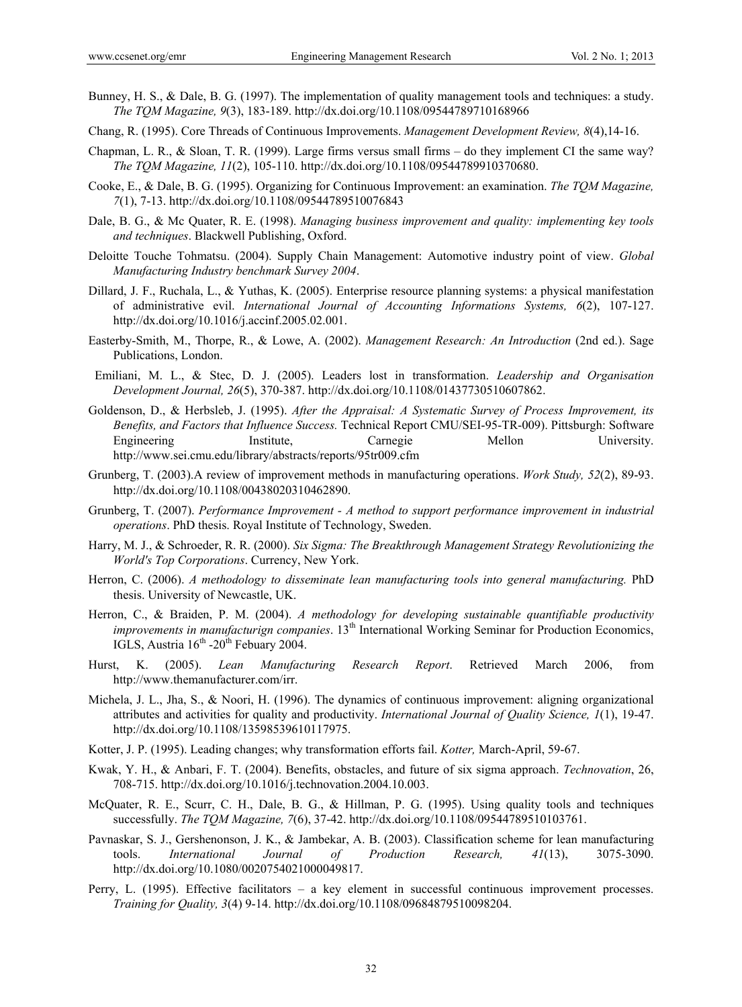- Bunney, H. S., & Dale, B. G. (1997). The implementation of quality management tools and techniques: a study. *The TQM Magazine, 9*(3), 183-189. http://dx.doi.org/10.1108/09544789710168966
- Chang, R. (1995). Core Threads of Continuous Improvements. *Management Development Review, 8*(4),14-16.
- Chapman, L. R., & Sloan, T. R. (1999). Large firms versus small firms do they implement CI the same way? *The TQM Magazine, 11*(2), 105-110. http://dx.doi.org/10.1108/09544789910370680.
- Cooke, E., & Dale, B. G. (1995). Organizing for Continuous Improvement: an examination. *The TQM Magazine, 7*(1), 7-13. http://dx.doi.org/10.1108/09544789510076843
- Dale, B. G., & Mc Quater, R. E. (1998). *Managing business improvement and quality: implementing key tools and techniques*. Blackwell Publishing, Oxford.
- Deloitte Touche Tohmatsu. (2004). Supply Chain Management: Automotive industry point of view. *Global Manufacturing Industry benchmark Survey 2004*.
- Dillard, J. F., Ruchala, L., & Yuthas, K. (2005). Enterprise resource planning systems: a physical manifestation of administrative evil. *International Journal of Accounting Informations Systems, 6*(2), 107-127. http://dx.doi.org/10.1016/j.accinf.2005.02.001.
- Easterby-Smith, M., Thorpe, R., & Lowe, A. (2002). *Management Research: An Introduction* (2nd ed.). Sage Publications, London.
- Emiliani, M. L., & Stec, D. J. (2005). Leaders lost in transformation. *Leadership and Organisation Development Journal, 26*(5), 370-387. http://dx.doi.org/10.1108/01437730510607862.
- Goldenson, D., & Herbsleb, J. (1995). *After the Appraisal: A Systematic Survey of Process Improvement, its Benefits, and Factors that Influence Success.* Technical Report CMU/SEI-95-TR-009). Pittsburgh: Software Engineering Institute, Carnegie Mellon University. http://www.sei.cmu.edu/library/abstracts/reports/95tr009.cfm
- Grunberg, T. (2003).A review of improvement methods in manufacturing operations. *Work Study, 52*(2), 89-93. http://dx.doi.org/10.1108/00438020310462890.
- Grunberg, T. (2007). *Performance Improvement A method to support performance improvement in industrial operations*. PhD thesis. Royal Institute of Technology, Sweden.
- Harry, M. J., & Schroeder, R. R. (2000). *Six Sigma: The Breakthrough Management Strategy Revolutionizing the World's Top Corporations*. Currency, New York.
- Herron, C. (2006). *A methodology to disseminate lean manufacturing tools into general manufacturing.* PhD thesis. University of Newcastle, UK.
- Herron, C., & Braiden, P. M. (2004). *A methodology for developing sustainable quantifiable productivity improvements in manufacturign companies*. 13<sup>th</sup> International Working Seminar for Production Economics, IGLS, Austria 16<sup>th</sup> -20<sup>th</sup> Febuary 2004.
- Hurst, K. (2005). *Lean Manufacturing Research Report*. Retrieved March 2006, from http://www.themanufacturer.com/irr.
- Michela, J. L., Jha, S., & Noori, H. (1996). The dynamics of continuous improvement: aligning organizational attributes and activities for quality and productivity. *International Journal of Quality Science, 1*(1), 19-47. http://dx.doi.org/10.1108/13598539610117975.
- Kotter, J. P. (1995). Leading changes; why transformation efforts fail. *Kotter,* March-April, 59-67.
- Kwak, Y. H., & Anbari, F. T. (2004). Benefits, obstacles, and future of six sigma approach. *Technovation*, 26, 708-715. http://dx.doi.org/10.1016/j.technovation.2004.10.003.
- McQuater, R. E., Scurr, C. H., Dale, B. G., & Hillman, P. G. (1995). Using quality tools and techniques successfully. *The TQM Magazine, 7*(6), 37-42. http://dx.doi.org/10.1108/09544789510103761.
- Pavnaskar, S. J., Gershenonson, J. K., & Jambekar, A. B. (2003). Classification scheme for lean manufacturing tools. *International Journal of Production Research, 41*(13), 3075-3090. http://dx.doi.org/10.1080/0020754021000049817.
- Perry, L. (1995). Effective facilitators a key element in successful continuous improvement processes. *Training for Quality, 3*(4) 9-14. http://dx.doi.org/10.1108/09684879510098204.